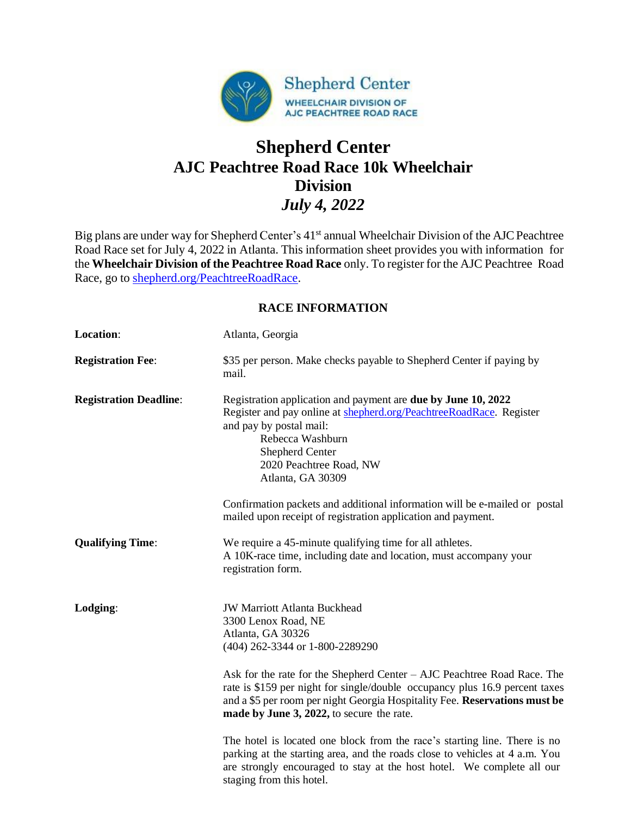

## **Shepherd Center AJC Peachtree Road Race 10k Wheelchair Division** *July 4, 2022*

Big plans are under way for Shepherd Center's 41<sup>st</sup> annual Wheelchair Division of the AJC Peachtree Road Race set for July 4, 2022 in Atlanta. This information sheet provides you with information for the **Wheelchair Division of the Peachtree Road Race** only. To register for the AJC Peachtree Road Race, go to shepherd.org/PeachtreeRoadRace.

## **RACE INFORMATION**

| Location:                     | Atlanta, Georgia                                                                                                                                                                                                                                                                  |  |
|-------------------------------|-----------------------------------------------------------------------------------------------------------------------------------------------------------------------------------------------------------------------------------------------------------------------------------|--|
| <b>Registration Fee:</b>      | \$35 per person. Make checks payable to Shepherd Center if paying by<br>mail.                                                                                                                                                                                                     |  |
| <b>Registration Deadline:</b> | Registration application and payment are due by June 10, 2022<br>Register and pay online at shepherd.org/PeachtreeRoadRace. Register<br>and pay by postal mail:<br>Rebecca Washburn<br>Shepherd Center<br>2020 Peachtree Road, NW<br>Atlanta, GA 30309                            |  |
|                               | Confirmation packets and additional information will be e-mailed or postal<br>mailed upon receipt of registration application and payment.                                                                                                                                        |  |
| <b>Qualifying Time:</b>       | We require a 45-minute qualifying time for all athletes.<br>A 10K-race time, including date and location, must accompany your<br>registration form.                                                                                                                               |  |
| Lodging:                      | <b>JW Marriott Atlanta Buckhead</b><br>3300 Lenox Road, NE<br>Atlanta, GA 30326<br>(404) 262-3344 or 1-800-2289290                                                                                                                                                                |  |
|                               | Ask for the rate for the Shepherd Center - AJC Peachtree Road Race. The<br>rate is \$159 per night for single/double occupancy plus 16.9 percent taxes<br>and a \$5 per room per night Georgia Hospitality Fee. Reservations must be<br>made by June 3, 2022, to secure the rate. |  |
|                               | The hotel is located one block from the race's starting line. There is no<br>parking at the starting area, and the roads close to vehicles at 4 a.m. You<br>are strongly encouraged to stay at the host hotel. We complete all our<br>staging from this hotel.                    |  |